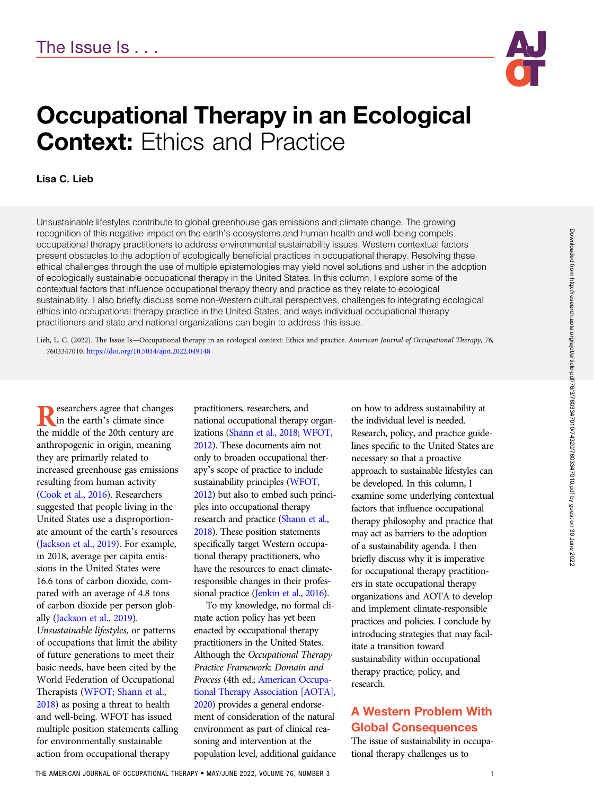

# Occupational Therapy in an Ecological **Context: Ethics and Practice**

#### Lisa C. Lieb

Unsustainable lifestyles contribute to global greenhouse gas emissions and climate change. The growing recognition of this negative impact on the earth's ecosystems and human health and well-being compels occupational therapy practitioners to address environmental sustainability issues. Western contextual factors present obstacles to the adoption of ecologically beneficial practices in occupational therapy. Resolving these ethical challenges through the use of multiple epistemologies may yield novel solutions and usher in the adoption of ecologically sustainable occupational therapy in the United States. In this column, I explore some of the contextual factors that influence occupational therapy theory and practice as they relate to ecological sustainability. I also briefly discuss some non-Western cultural perspectives, challenges to integrating ecological ethics into occupational therapy practice in the United States, and ways individual occupational therapy practitioners and state and national organizations can begin to address this issue.

Lieb, L. C. (2022). The Issue Is—Occupational therapy in an ecological context: Ethics and practice. American Journal of Occupational Therapy, 76, 7603347010. https://doi.org/10.5014/ajot.2022.049148

**Researchers agree that changes**<br>the middle of the 20th century are the middle of the 20th century are anthropogenic in origin, meaning they are primarily related to increased greenhouse gas emissions resulting from human activity [\(Cook et al., 2016](#page-3-0)). Researchers suggested that people living in the United States use a disproportionate amount of the earth's resources [\(Jackson et al., 2019](#page-3-0)). For example, in 2018, average per capita emissions in the United States were 16.6 tons of carbon dioxide, compared with an average of 4.8 tons of carbon dioxide per person globally [\(Jackson et al., 2019](#page-3-0)). Unsustainable lifestyles, or patterns of occupations that limit the ability of future generations to meet their basic needs, have been cited by the World Federation of Occupational Therapists ([WFOT; Shann et al.,](#page-3-0) [2018](#page-3-0)) as posing a threat to health and well-being. WFOT has issued multiple position statements calling for environmentally sustainable

action from occupational therapy

practitioners, researchers, and national occupational therapy organizations ([Shann et al., 2018;](#page-3-0) [WFOT,](#page-3-0) [2012\)](#page-3-0). These documents aim not only to broaden occupational therapy's scope of practice to include sustainability principles [\(WFOT,](#page-3-0) [2012\)](#page-3-0) but also to embed such principles into occupational therapy research and practice [\(Shann et al.,](#page-3-0) [2018\)](#page-3-0). These position statements specifically target Western occupational therapy practitioners, who have the resources to enact climateresponsible changes in their profes-sional practice [\(Jenkin et al., 2016\)](#page-3-0).

To my knowledge, no formal climate action policy has yet been enacted by occupational therapy practitioners in the United States. Although the Occupational Therapy Practice Framework: Domain and Process (4th ed.; [American Occupa](#page-3-0)[tional Therapy Association \[AOTA\],](#page-3-0) [2020\)](#page-3-0) provides a general endorsement of consideration of the natural environment as part of clinical reasoning and intervention at the population level, additional guidance

on how to address sustainability at the individual level is needed. Research, policy, and practice guidelines specific to the United States are necessary so that a proactive approach to sustainable lifestyles can be developed. In this column, I examine some underlying contextual factors that influence occupational therapy philosophy and practice that may act as barriers to the adoption of a sustainability agenda. I then briefly discuss why it is imperative for occupational therapy practitioners in state occupational therapy organizations and AOTA to develop and implement climate-responsible practices and policies. I conclude by introducing strategies that may facilitate a transition toward sustainability within occupational therapy practice, policy, and research.

## A Western Problem With Global Consequences

The issue of sustainability in occupational therapy challenges us to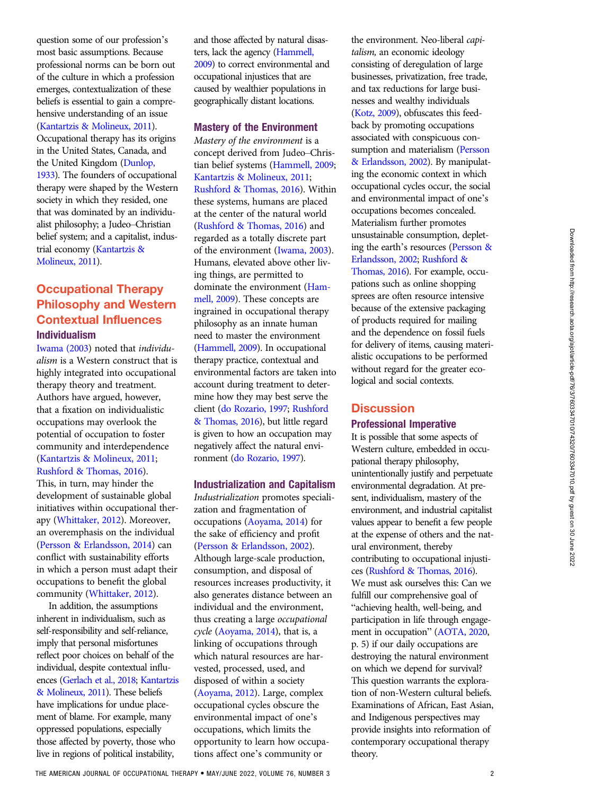question some of our profession's most basic assumptions. Because professional norms can be born out of the culture in which a profession emerges, contextualization of these beliefs is essential to gain a comprehensive understanding of an issue [\(Kantartzis & Molineux, 2011](#page-3-0)). Occupational therapy has its origins in the United States, Canada, and the United Kingdom [\(Dunlop,](#page-3-0) [1933\)](#page-3-0). The founders of occupational therapy were shaped by the Western society in which they resided, one that was dominated by an individualist philosophy; a Judeo–Christian belief system; and a capitalist, industrial economy [\(Kantartzis &](#page-3-0) [Molineux, 2011](#page-3-0)).

## Occupational Therapy Philosophy and Western Contextual Influences Individualism

[Iwama \(2003\)](#page-3-0) noted that individualism is a Western construct that is highly integrated into occupational therapy theory and treatment. Authors have argued, however, that a fixation on individualistic occupations may overlook the potential of occupation to foster community and interdependence [\(Kantartzis & Molineux, 2011;](#page-3-0) [Rushford & Thomas, 2016](#page-3-0)).

This, in turn, may hinder the development of sustainable global initiatives within occupational therapy ([Whittaker, 2012\)](#page-3-0). Moreover, an overemphasis on the individual [\(Persson & Erlandsson, 2014](#page-3-0)) can conflict with sustainability efforts in which a person must adapt their occupations to benefit the global community [\(Whittaker, 2012\)](#page-3-0).

In addition, the assumptions inherent in individualism, such as self-responsibility and self-reliance, imply that personal misfortunes reflect poor choices on behalf of the individual, despite contextual influences [\(Gerlach et al., 2018;](#page-3-0) [Kantartzis](#page-3-0) [& Molineux, 2011](#page-3-0)). These beliefs have implications for undue placement of blame. For example, many oppressed populations, especially those affected by poverty, those who live in regions of political instability,

and those affected by natural disasters, lack the agency [\(Hammell,](#page-3-0) [2009\)](#page-3-0) to correct environmental and occupational injustices that are caused by wealthier populations in geographically distant locations.

#### Mastery of the Environment

Mastery of the environment is a concept derived from Judeo–Christian belief systems [\(Hammell, 2009;](#page-3-0) [Kantartzis & Molineux, 2011;](#page-3-0) [Rushford & Thomas, 2016](#page-3-0)). Within these systems, humans are placed at the center of the natural world [\(Rushford & Thomas, 2016\)](#page-3-0) and regarded as a totally discrete part of the environment [\(Iwama, 2003](#page-3-0)). Humans, elevated above other living things, are permitted to dominate the environment ([Ham](#page-3-0)[mell, 2009](#page-3-0)). These concepts are ingrained in occupational therapy philosophy as an innate human need to master the environment [\(Hammell, 2009\)](#page-3-0). In occupational therapy practice, contextual and environmental factors are taken into account during treatment to determine how they may best serve the client ([do Rozario, 1997;](#page-3-0) [Rushford](#page-3-0) [& Thomas, 2016](#page-3-0)), but little regard is given to how an occupation may negatively affect the natural environment [\(do Rozario, 1997\)](#page-3-0).

#### Industrialization and Capitalism

Industrialization promotes specialization and fragmentation of occupations ([Aoyama, 2014\)](#page-3-0) for the sake of efficiency and profit [\(Persson & Erlandsson, 2002](#page-3-0)). Although large-scale production, consumption, and disposal of resources increases productivity, it also generates distance between an individual and the environment, thus creating a large occupational cycle ([Aoyama, 2014\)](#page-3-0), that is, a linking of occupations through which natural resources are harvested, processed, used, and disposed of within a society [\(Aoyama, 2012](#page-3-0)). Large, complex occupational cycles obscure the environmental impact of one's occupations, which limits the opportunity to learn how occupations affect one's community or

the environment. Neo-liberal capitalism, an economic ideology consisting of deregulation of large businesses, privatization, free trade, and tax reductions for large businesses and wealthy individuals [\(Kotz, 2009\)](#page-3-0), obfuscates this feedback by promoting occupations associated with conspicuous consumption and materialism ([Persson](#page-3-0) [& Erlandsson, 2002\)](#page-3-0). By manipulating the economic context in which occupational cycles occur, the social and environmental impact of one's occupations becomes concealed. Materialism further promotes unsustainable consumption, depleting the earth's resources [\(Persson &](#page-3-0) [Erlandsson, 2002;](#page-3-0) [Rushford &](#page-3-0) [Thomas, 2016\)](#page-3-0). For example, occupations such as online shopping sprees are often resource intensive because of the extensive packaging of products required for mailing and the dependence on fossil fuels for delivery of items, causing materialistic occupations to be performed without regard for the greater ecological and social contexts.

#### **Discussion** Professional Imperative

It is possible that some aspects of Western culture, embedded in occupational therapy philosophy, unintentionally justify and perpetuate environmental degradation. At present, individualism, mastery of the environment, and industrial capitalist values appear to benefit a few people at the expense of others and the natural environment, thereby contributing to occupational injustices [\(Rushford & Thomas, 2016\)](#page-3-0). We must ask ourselves this: Can we fulfill our comprehensive goal of "achieving health, well-being, and participation in life through engagement in occupation" ([AOTA, 2020,](#page-3-0) p. 5) if our daily occupations are destroying the natural environment on which we depend for survival? This question warrants the exploration of non-Western cultural beliefs. Examinations of African, East Asian, and Indigenous perspectives may provide insights into reformation of contemporary occupational therapy theory.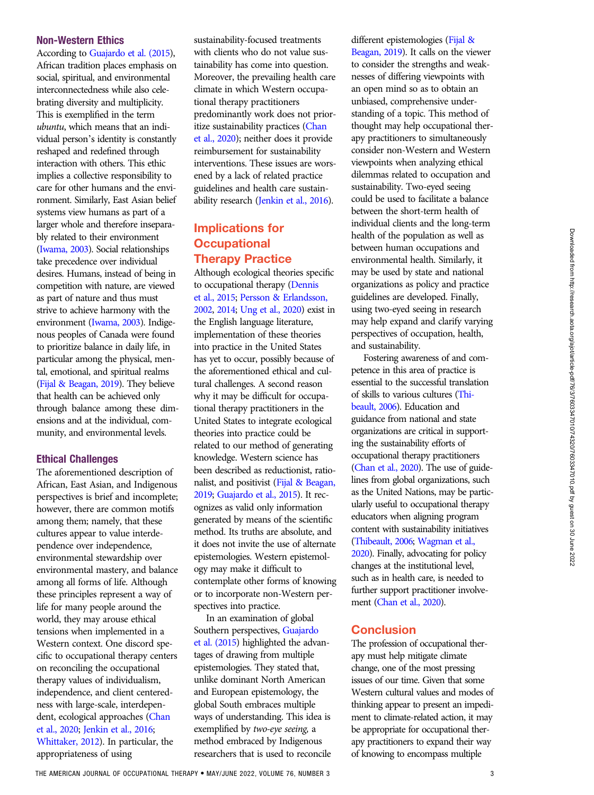#### Non-Western Ethics

According to [Guajardo et al. \(2015](#page-3-0)), African tradition places emphasis on social, spiritual, and environmental interconnectedness while also celebrating diversity and multiplicity. This is exemplified in the term ubuntu, which means that an individual person's identity is constantly reshaped and redefined through interaction with others. This ethic implies a collective responsibility to care for other humans and the environment. Similarly, East Asian belief systems view humans as part of a larger whole and therefore inseparably related to their environment [\(Iwama, 2003\)](#page-3-0). Social relationships take precedence over individual desires. Humans, instead of being in competition with nature, are viewed as part of nature and thus must strive to achieve harmony with the environment [\(Iwama, 2003](#page-3-0)). Indigenous peoples of Canada were found to prioritize balance in daily life, in particular among the physical, mental, emotional, and spiritual realms [\(Fijal & Beagan, 2019\)](#page-3-0). They believe that health can be achieved only through balance among these dimensions and at the individual, community, and environmental levels.

### Ethical Challenges

The aforementioned description of African, East Asian, and Indigenous perspectives is brief and incomplete; however, there are common motifs among them; namely, that these cultures appear to value interdependence over independence, environmental stewardship over environmental mastery, and balance among all forms of life. Although these principles represent a way of life for many people around the world, they may arouse ethical tensions when implemented in a Western context. One discord specific to occupational therapy centers on reconciling the occupational therapy values of individualism, independence, and client centeredness with large-scale, interdependent, ecological approaches ([Chan](#page-3-0) [et al., 2020;](#page-3-0) [Jenkin et al., 2016](#page-3-0); [Whittaker, 2012\)](#page-3-0). In particular, the appropriateness of using

sustainability-focused treatments with clients who do not value sustainability has come into question. Moreover, the prevailing health care climate in which Western occupational therapy practitioners predominantly work does not prioritize sustainability practices [\(Chan](#page-3-0) [et al., 2020\)](#page-3-0); neither does it provide reimbursement for sustainability interventions. These issues are worsened by a lack of related practice guidelines and health care sustainability research [\(Jenkin et al., 2016\)](#page-3-0).

## Implications for **Occupational** Therapy Practice

Although ecological theories specific to occupational therapy ([Dennis](#page-3-0) [et al., 2015;](#page-3-0) [Persson & Erlandsson,](#page-3-0) [2002,](#page-3-0) [2014;](#page-3-0) [Ung et al., 2020\)](#page-3-0) exist in the English language literature, implementation of these theories into practice in the United States has yet to occur, possibly because of the aforementioned ethical and cultural challenges. A second reason why it may be difficult for occupational therapy practitioners in the United States to integrate ecological theories into practice could be related to our method of generating knowledge. Western science has been described as reductionist, rationalist, and positivist [\(Fijal & Beagan,](#page-3-0) [2019;](#page-3-0) [Guajardo et al., 2015\)](#page-3-0). It recognizes as valid only information generated by means of the scientific method. Its truths are absolute, and it does not invite the use of alternate epistemologies. Western epistemology may make it difficult to contemplate other forms of knowing or to incorporate non-Western perspectives into practice.

In an examination of global Southern perspectives, [Guajardo](#page-3-0) [et al. \(2015\)](#page-3-0) highlighted the advantages of drawing from multiple epistemologies. They stated that, unlike dominant North American and European epistemology, the global South embraces multiple ways of understanding. This idea is exemplified by two-eye seeing, a method embraced by Indigenous researchers that is used to reconcile different epistemologies ([Fijal &](#page-3-0) [Beagan, 2019\)](#page-3-0). It calls on the viewer to consider the strengths and weaknesses of differing viewpoints with an open mind so as to obtain an unbiased, comprehensive understanding of a topic. This method of thought may help occupational therapy practitioners to simultaneously consider non-Western and Western viewpoints when analyzing ethical dilemmas related to occupation and sustainability. Two-eyed seeing could be used to facilitate a balance between the short-term health of individual clients and the long-term health of the population as well as between human occupations and environmental health. Similarly, it may be used by state and national organizations as policy and practice guidelines are developed. Finally, using two-eyed seeing in research may help expand and clarify varying perspectives of occupation, health, and sustainability.

Fostering awareness of and competence in this area of practice is essential to the successful translation of skills to various cultures [\(Thi](#page-3-0)[beault, 2006](#page-3-0)). Education and guidance from national and state organizations are critical in supporting the sustainability efforts of occupational therapy practitioners [\(Chan et al., 2020\)](#page-3-0). The use of guidelines from global organizations, such as the United Nations, may be particularly useful to occupational therapy educators when aligning program content with sustainability initiatives [\(Thibeault, 2006](#page-3-0); [Wagman et al.,](#page-3-0) [2020](#page-3-0)). Finally, advocating for policy changes at the institutional level, such as in health care, is needed to further support practitioner involve-ment [\(Chan et al., 2020\)](#page-3-0).

#### **Conclusion**

The profession of occupational therapy must help mitigate climate change, one of the most pressing issues of our time. Given that some Western cultural values and modes of thinking appear to present an impediment to climate-related action, it may be appropriate for occupational therapy practitioners to expand their way of knowing to encompass multiple